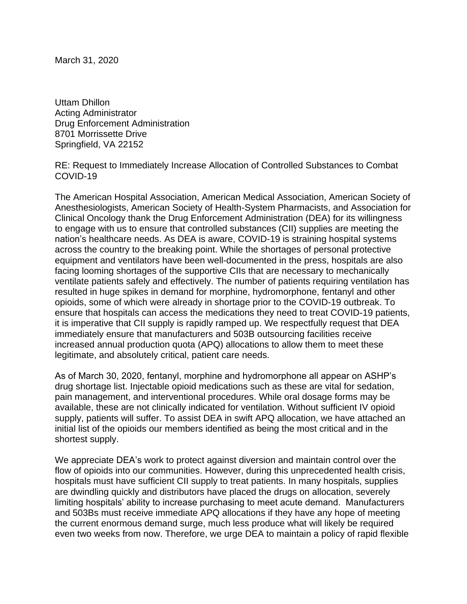March 31, 2020

Uttam Dhillon Acting Administrator Drug Enforcement Administration 8701 Morrissette Drive Springfield, VA 22152

RE: Request to Immediately Increase Allocation of Controlled Substances to Combat COVID-19

The American Hospital Association, American Medical Association, American Society of Anesthesiologists, American Society of Health-System Pharmacists, and Association for Clinical Oncology thank the Drug Enforcement Administration (DEA) for its willingness to engage with us to ensure that controlled substances (CII) supplies are meeting the nation's healthcare needs. As DEA is aware, COVID-19 is straining hospital systems across the country to the breaking point. While the shortages of personal protective equipment and ventilators have been well-documented in the press, hospitals are also facing looming shortages of the supportive CIIs that are necessary to mechanically ventilate patients safely and effectively. The number of patients requiring ventilation has resulted in huge spikes in demand for morphine, hydromorphone, fentanyl and other opioids, some of which were already in shortage prior to the COVID-19 outbreak. To ensure that hospitals can access the medications they need to treat COVID-19 patients, it is imperative that CII supply is rapidly ramped up. We respectfully request that DEA immediately ensure that manufacturers and 503B outsourcing facilities receive increased annual production quota (APQ) allocations to allow them to meet these legitimate, and absolutely critical, patient care needs.

As of March 30, 2020, fentanyl, morphine and hydromorphone all appear on ASHP's drug shortage list. Injectable opioid medications such as these are vital for sedation, pain management, and interventional procedures. While oral dosage forms may be available, these are not clinically indicated for ventilation. Without sufficient IV opioid supply, patients will suffer. To assist DEA in swift APQ allocation, we have attached an initial list of the opioids our members identified as being the most critical and in the shortest supply.

We appreciate DEA's work to protect against diversion and maintain control over the flow of opioids into our communities. However, during this unprecedented health crisis, hospitals must have sufficient CII supply to treat patients. In many hospitals, supplies are dwindling quickly and distributors have placed the drugs on allocation, severely limiting hospitals' ability to increase purchasing to meet acute demand. Manufacturers and 503Bs must receive immediate APQ allocations if they have any hope of meeting the current enormous demand surge, much less produce what will likely be required even two weeks from now. Therefore, we urge DEA to maintain a policy of rapid flexible